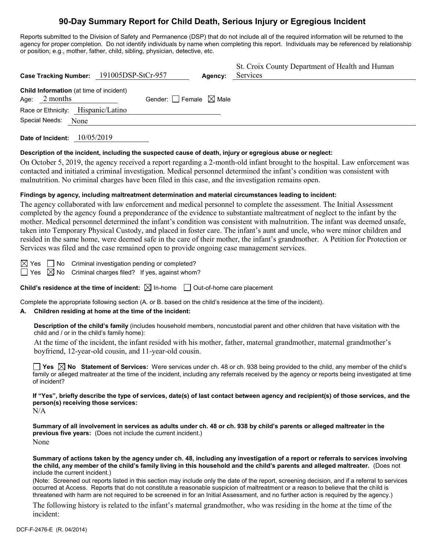# **90-Day Summary Report for Child Death, Serious Injury or Egregious Incident**

Reports submitted to the Division of Safety and Permanence (DSP) that do not include all of the required information will be returned to the agency for proper completion. Do not identify individuals by name when completing this report. Individuals may be referenced by relationship or position; e.g., mother, father, child, sibling, physician, detective, etc.

| Case Tracking Number: 191005DSP-StCr-957                   |                                        | Agency: | St. Croix County Department of Health and Human<br>Services |
|------------------------------------------------------------|----------------------------------------|---------|-------------------------------------------------------------|
| Child Information (at time of incident)<br>Age: $2$ months | Gender: $\Box$ Female $\boxtimes$ Male |         |                                                             |
| Race or Ethnicity: Hispanic/Latino<br>Special Needs:       |                                        |         |                                                             |
| None                                                       |                                        |         |                                                             |

**Date of Incident:** 10/05/2019

#### **Description of the incident, including the suspected cause of death, injury or egregious abuse or neglect:**

On October 5, 2019, the agency received a report regarding a 2-month-old infant brought to the hospital. Law enforcement was contacted and initiated a criminal investigation. Medical personnel determined the infant's condition was consistent with malnutrition. No criminal charges have been filed in this case, and the investigation remains open.

### **Findings by agency, including maltreatment determination and material circumstances leading to incident:**

The agency collaborated with law enforcement and medical personnel to complete the assessment. The Initial Assessment completed by the agency found a preponderance of the evidence to substantiate maltreatment of neglect to the infant by the mother. Medical personnel determined the infant's condition was consistent with malnutrition. The infant was deemed unsafe, taken into Temporary Physical Custody, and placed in foster care. The infant's aunt and uncle, who were minor children and resided in the same home, were deemed safe in the care of their mother, the infant's grandmother. A Petition for Protection or Services was filed and the case remained open to provide ongoing case management services.

 $\boxtimes$  Yes  $\Box$  No Criminal investigation pending or completed?  $\Box$  Yes  $\Box$  No Criminal charges filed? If yes, against whom?

**Child's residence at the time of incident:**  $\boxtimes$  In-home  $\Box$  Out-of-home care placement

Complete the appropriate following section (A. or B. based on the child's residence at the time of the incident).

#### **A. Children residing at home at the time of the incident:**

**Description of the child's family** (includes household members, noncustodial parent and other children that have visitation with the child and / or in the child's family home):

At the time of the incident, the infant resided with his mother, father, maternal grandmother, maternal grandmother's boyfriend, 12-year-old cousin, and 11-year-old cousin.

**Yes No Statement of Services:** Were services under ch. 48 or ch. 938 being provided to the child, any member of the child's family or alleged maltreater at the time of the incident, including any referrals received by the agency or reports being investigated at time of incident?

**If "Yes", briefly describe the type of services, date(s) of last contact between agency and recipient(s) of those services, and the person(s) receiving those services:**  $N/A$ 

**Summary of all involvement in services as adults under ch. 48 or ch. 938 by child's parents or alleged maltreater in the previous five years:** (Does not include the current incident.) None

**Summary of actions taken by the agency under ch. 48, including any investigation of a report or referrals to services involving the child, any member of the child's family living in this household and the child's parents and alleged maltreater.** (Does not include the current incident.)

(Note: Screened out reports listed in this section may include only the date of the report, screening decision, and if a referral to services occurred at Access. Reports that do not constitute a reasonable suspicion of maltreatment or a reason to believe that the child is threatened with harm are not required to be screened in for an Initial Assessment, and no further action is required by the agency.)

The following history is related to the infant's maternal grandmother, who was residing in the home at the time of the incident: